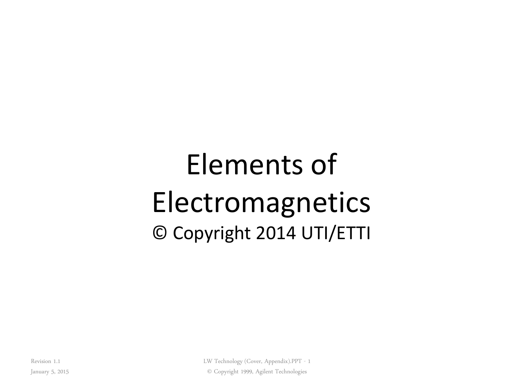# Elements of **Electromagnetics** © Copyright 2014 UTI/ETTI

Revision 1.1

LW Technology (Cover, Appendix).PPT - 1 © Copyright 1999, Agilent Technologies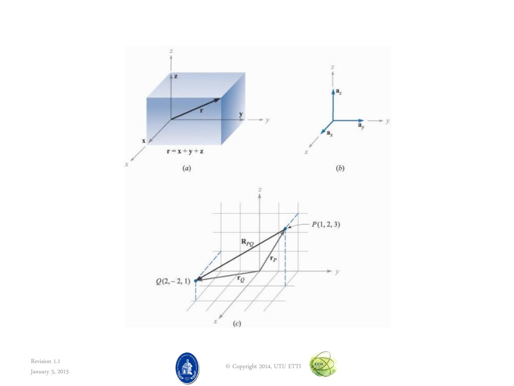





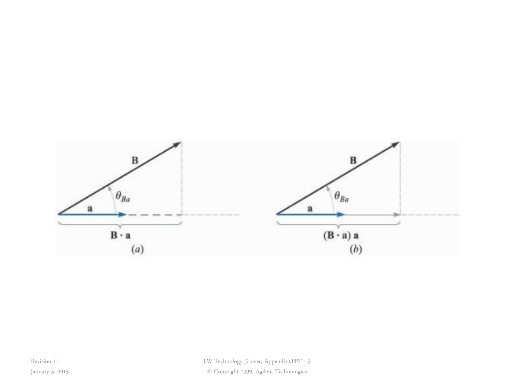

© Copyright 1999, Agilent Technologies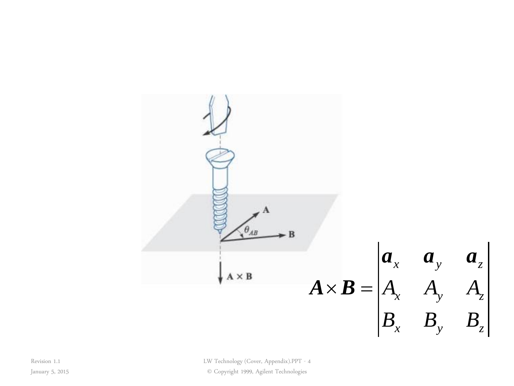

LW Technology (Cover, Appendix).PPT - 4

© Copyright 1999, Agilent Technologies

Revision 1.1 January 5, 2015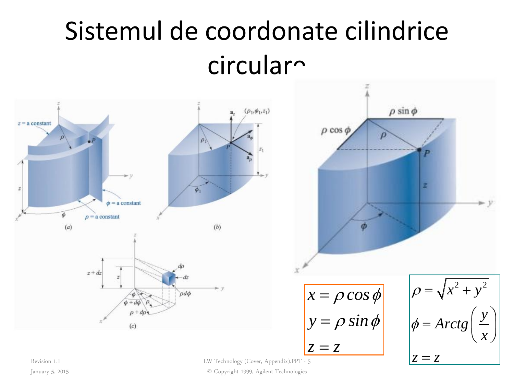#### Sistemul de coordonate cilindrice circular<sup>~</sup>



January 5, 2015

LW Technology (Cover, Appendix).PPT - 5

© Copyright 1999, Agilent Technologies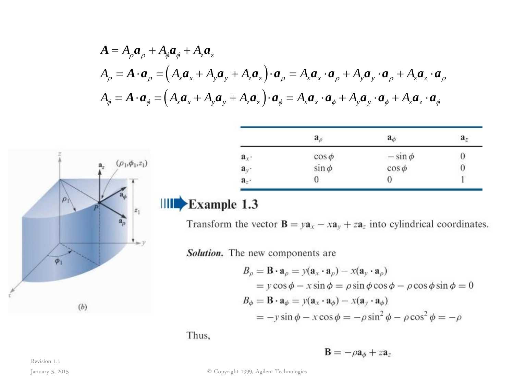$$
A = A_{\rho}a_{\rho} + A_{\phi}a_{\phi} + A_{z}a_{z}
$$
\n
$$
A_{\rho} = A \cdot a_{\rho} = (A_{x}a_{x} + A_{y}a_{y} + A_{z}a_{z}) \cdot a_{\rho} = A_{x}a_{x} \cdot a_{\rho} + A_{y}a_{y} \cdot a_{\rho} + A_{z}a_{z} \cdot a_{\rho}
$$
\n
$$
A_{\phi} = A \cdot a_{\phi} = (A_{x}a_{x} + A_{y}a_{y} + A_{z}a_{z}) \cdot a_{\phi} = A_{x}a_{x} \cdot a_{\phi} + A_{y}a_{y} \cdot a_{\phi} + A_{z}a_{z} \cdot a_{\phi}
$$
\n
$$
= \begin{array}{c|c c c c c c c c c c c c c c} \hline a_{\rho} & a_{\rho} & a_{\rho} & a_{\rho} & a_{\rho} & a_{\rho} & a_{\rho} & a_{\rho} & a_{\rho} & a_{\rho} & a_{\rho} & a_{\rho} & a_{\rho} & a_{\rho} & a_{\rho} & a_{\rho} & a_{\rho} & a_{\rho} & a_{\rho} & a_{\rho} & a_{\rho} & a_{\rho} & a_{\rho} & a_{\rho} & a_{\rho} & a_{\rho} & a_{\rho} & a_{\rho} & a_{\rho} & a_{\rho} & a_{\rho} & a_{\rho} & a_{\rho} & a_{\rho} & a_{\rho} & a_{\rho} & a_{\rho} & a_{\rho} & a_{\rho} & a_{\rho} & a_{\rho} & a_{\rho} & a_{\rho} & a_{\rho} & a_{\rho} & a_{\rho} & a_{\rho} & a_{\rho} & a_{\rho} & a_{\rho} & a_{\rho} & a_{\rho} & a_{\rho} & a_{\rho} & a_{\rho} & a_{\rho} & a_{\rho} & a_{\rho} & a_{\rho} & a_{\rho} & a_{\rho} & a_{\rho} & a_{\rho} & a_{\rho} & a_{\rho} & a_{\rho} & a_{\rho} & a_{\rho} & a_{\rho} & a_{\rho} & a_{\rho} & a_{\rho} & a_{\rho} & a_{\rho} & a_{\rho} & a_{\rho} & a_{\rho} & a_{\rho} & a_{\rho} & a_{\rho} &
$$

|                                     | $a_{\rho}$                 | $a_{\phi}$  | a <sub>z</sub> |
|-------------------------------------|----------------------------|-------------|----------------|
| $\mathbf{a}_x$                      |                            | $-\sin\phi$ |                |
|                                     | $\cos \phi$<br>$\sin \phi$ | $\cos \phi$ |                |
| $\frac{\mathbf{a}_y}{\mathbf{a}_z}$ | 0                          |             |                |

$$
B_{\rho} = \mathbf{B} \cdot \mathbf{a}_{\rho} = y(\mathbf{a}_{x} \cdot \mathbf{a}_{\rho}) - x(\mathbf{a}_{y} \cdot \mathbf{a}_{\rho})
$$
  
=  $y \cos \phi - x \sin \phi = \rho \sin \phi \cos \phi - \rho \cos \phi \sin \phi = 0$   

$$
B_{\phi} = \mathbf{B} \cdot \mathbf{a}_{\phi} = y(\mathbf{a}_{x} \cdot \mathbf{a}_{\phi}) - x(\mathbf{a}_{y} \cdot \mathbf{a}_{\phi})
$$
  
=  $-y \sin \phi - x \cos \phi = -\rho \sin^{2} \phi - \rho \cos^{2} \phi = -\rho$ 

 $\mathbf{B} = -\rho \mathbf{a}_{\phi} + z \mathbf{a}_{z}$ 

Revision 1.1

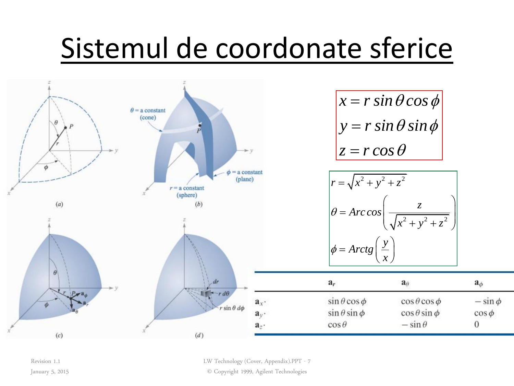# Sistemul de coordonate sferice



Revision 1.1 January 5, 2015 LW Technology (Cover, Appendix).PPT - 7

© Copyright 1999, Agilent Technologies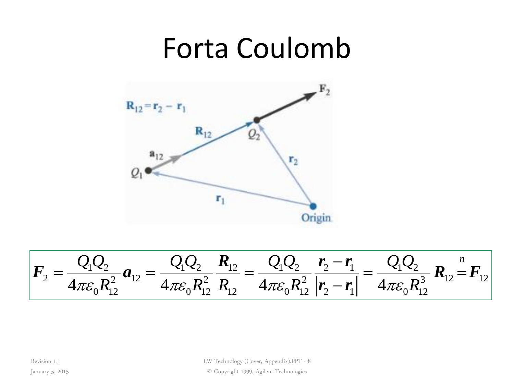#### Forta Coulomb



$$
F_2 = \frac{Q_1 Q_2}{4\pi \varepsilon_0 R_{12}^2} a_{12} = \frac{Q_1 Q_2}{4\pi \varepsilon_0 R_{12}^2} \frac{R_{12}}{R_{12}} = \frac{Q_1 Q_2}{4\pi \varepsilon_0 R_{12}^2} \frac{r_2 - r_1}{|r_2 - r_1|} = \frac{Q_1 Q_2}{4\pi \varepsilon_0 R_{12}^3} R_{12} = F_{12}
$$

Revision 1.1

LW Technology (Cover, Appendix).PPT - 8

January 5, 2015

© Copyright 1999, Agilent Technologies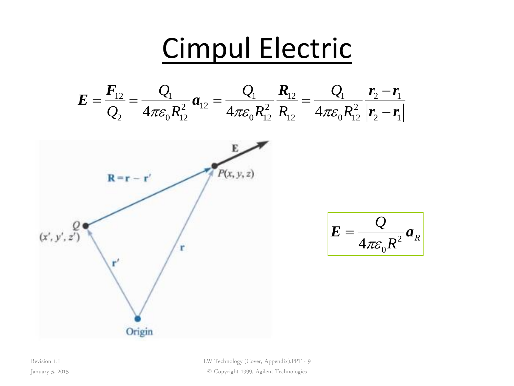

LW Technology (Cover, Appendix).PPT - 9 © Copyright 1999, Agilent Technologies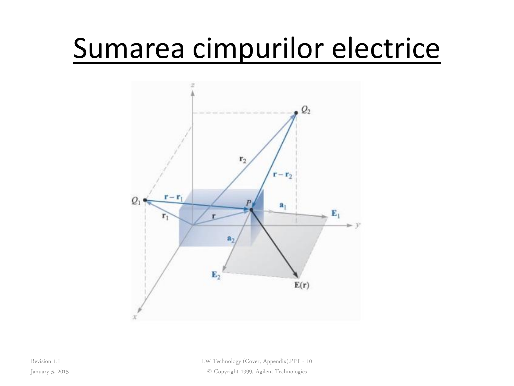# Sumarea cimpurilor electrice



LW Technology (Cover, Appendix).PPT - 10 © Copyright 1999, Agilent Technologies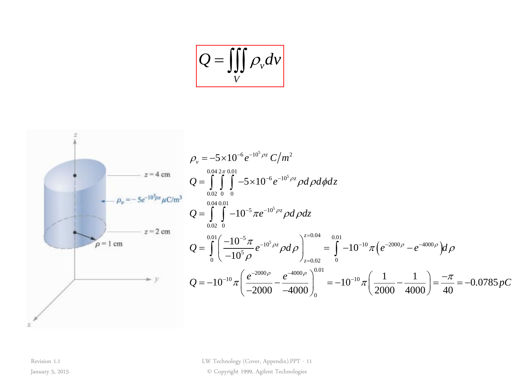$$
Q = \iiint\limits_V \rho_v dv
$$



LW Technology (Cover, Appendix).PPT - 11

*. pC*

© Copyright 1999, Agilent Technologies

Revision 1.1 January 5, 2015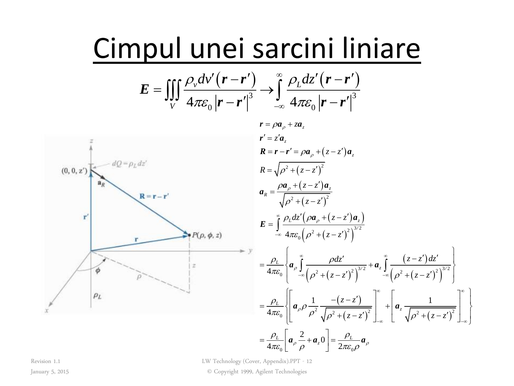# Cimpul unei sarcini liniare

$$
E = \iiint_{V} \frac{\rho_v dv'(r - r')}{4\pi \varepsilon_0 |r - r'|^3} \rightarrow \int_{-\infty}^{\infty} \frac{\rho_L dz'(r - r')}{4\pi \varepsilon_0 |r - r'|^3}
$$



LW Technology (Cover, Appendix).PPT - 12

© Copyright 1999, Agilent Technologies

Revision 1.1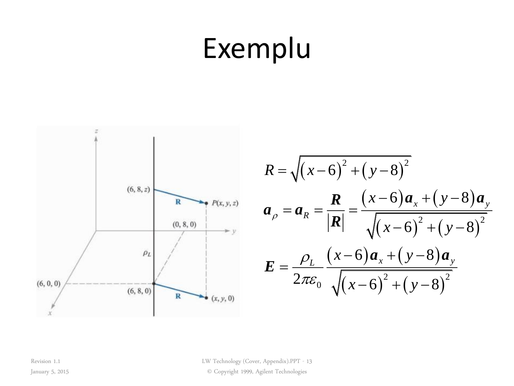# Exemplu



$$
R = \sqrt{(x-6)^2 + (y-8)^2}
$$
  
\n
$$
a_{\rho} = a_R = \frac{R}{|R|} = \frac{(x-6)a_x + (y-8)a_y}{\sqrt{(x-6)^2 + (y-8)^2}}
$$
  
\n
$$
E = \frac{\rho_L}{2\pi\varepsilon_0} \frac{(x-6)a_x + (y-8)a_y}{\sqrt{(x-6)^2 + (y-8)^2}}
$$

LW Technology (Cover, Appendix).PPT - 13

© Copyright 1999, Agilent Technologies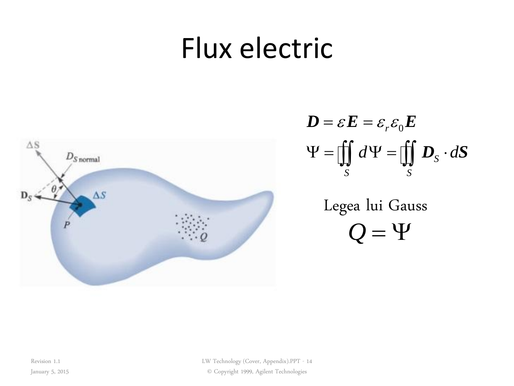#### Flux electric



$$
\mathbf{D} = \varepsilon \mathbf{E} = \varepsilon_r \varepsilon_0 \mathbf{E}
$$

$$
\mathbf{\Psi} = \iint_S d\mathbf{\Psi} = \iint_S \mathbf{D}_s \cdot d\mathbf{S}
$$

 $Q = \Psi$ Legea lui Gauss

Revision 1.1

January 5, 2015

LW Technology (Cover, Appendix).PPT - 14 © Copyright 1999, Agilent Technologies